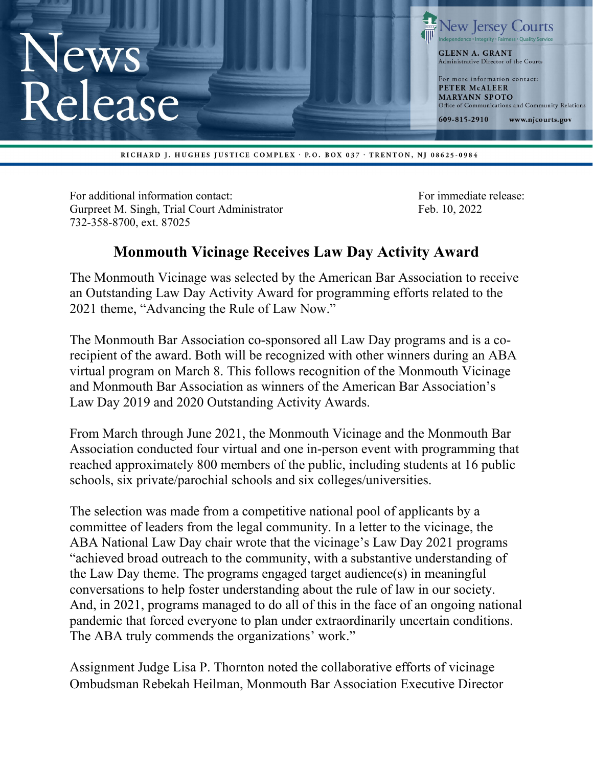

RICHARD J. HUGHES JUSTICE COMPLEX · P.O. BOX 037 · TRENTON, NJ 08625-0984

For additional information contact: For immediate release: Gurpreet M. Singh, Trial Court Administrator Feb. 10, 2022 732-358-8700, ext. 87025

## **Monmouth Vicinage Receives Law Day Activity Award**

The Monmouth Vicinage was selected by the American Bar Association to receive an Outstanding Law Day Activity Award for programming efforts related to the 2021 theme, "Advancing the Rule of Law Now."

The Monmouth Bar Association co-sponsored all Law Day programs and is a corecipient of the award. Both will be recognized with other winners during an ABA virtual program on March 8. This follows recognition of the Monmouth Vicinage and Monmouth Bar Association as winners of the American Bar Association's Law Day 2019 and 2020 Outstanding Activity Awards.

From March through June 2021, the Monmouth Vicinage and the Monmouth Bar Association conducted four virtual and one in-person event with programming that reached approximately 800 members of the public, including students at 16 public schools, six private/parochial schools and six colleges/universities.

The selection was made from a competitive national pool of applicants by a committee of leaders from the legal community. In a letter to the vicinage, the ABA National Law Day chair wrote that the vicinage's Law Day 2021 programs "achieved broad outreach to the community, with a substantive understanding of the Law Day theme. The programs engaged target audience(s) in meaningful conversations to help foster understanding about the rule of law in our society. And, in 2021, programs managed to do all of this in the face of an ongoing national pandemic that forced everyone to plan under extraordinarily uncertain conditions. The ABA truly commends the organizations' work."

Assignment Judge Lisa P. Thornton noted the collaborative efforts of vicinage Ombudsman Rebekah Heilman, Monmouth Bar Association Executive Director